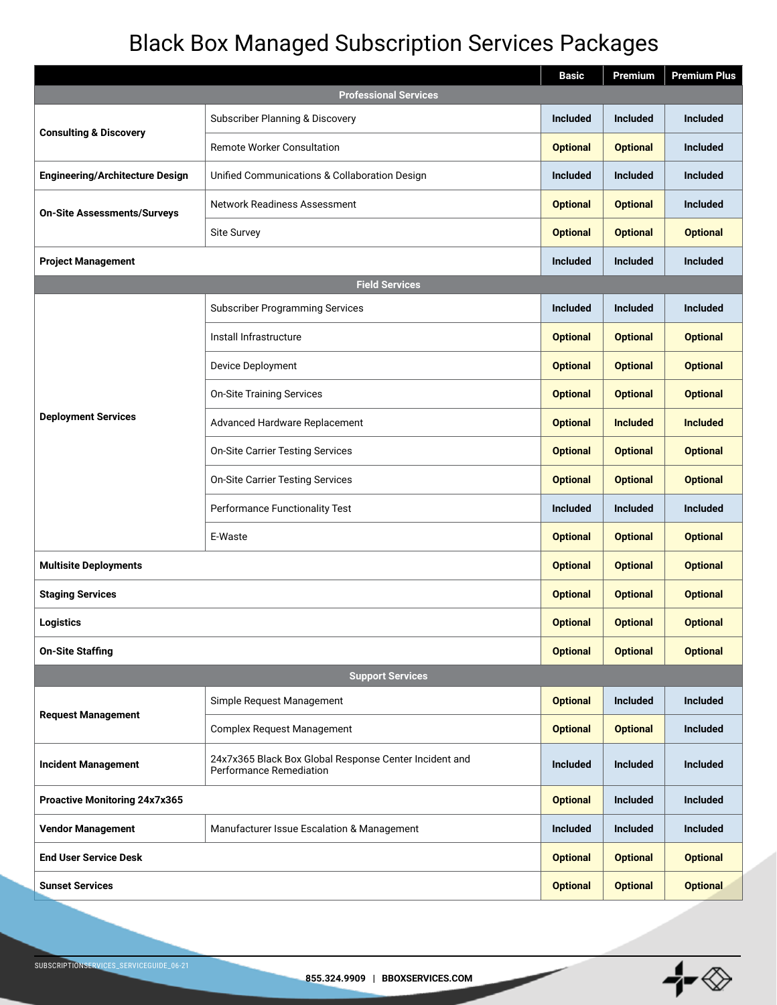## Black Box Managed Subscription Services Packages

|                                        |                                                                                   | <b>Basic</b>    | Premium         | <b>Premium Plus</b> |  |  |  |
|----------------------------------------|-----------------------------------------------------------------------------------|-----------------|-----------------|---------------------|--|--|--|
| <b>Professional Services</b>           |                                                                                   |                 |                 |                     |  |  |  |
| <b>Consulting &amp; Discovery</b>      | Subscriber Planning & Discovery                                                   | <b>Included</b> | <b>Included</b> | <b>Included</b>     |  |  |  |
|                                        | <b>Remote Worker Consultation</b>                                                 | <b>Optional</b> | <b>Optional</b> | <b>Included</b>     |  |  |  |
| <b>Engineering/Architecture Design</b> | Unified Communications & Collaboration Design                                     | <b>Included</b> | <b>Included</b> | <b>Included</b>     |  |  |  |
| <b>On-Site Assessments/Surveys</b>     | Network Readiness Assessment                                                      | <b>Optional</b> | <b>Optional</b> | <b>Included</b>     |  |  |  |
|                                        | Site Survey                                                                       | <b>Optional</b> | <b>Optional</b> | <b>Optional</b>     |  |  |  |
| <b>Project Management</b>              |                                                                                   | <b>Included</b> | <b>Included</b> | <b>Included</b>     |  |  |  |
|                                        | <b>Field Services</b>                                                             |                 |                 |                     |  |  |  |
| <b>Deployment Services</b>             | <b>Subscriber Programming Services</b>                                            | <b>Included</b> | <b>Included</b> | <b>Included</b>     |  |  |  |
|                                        | Install Infrastructure                                                            | <b>Optional</b> | <b>Optional</b> | <b>Optional</b>     |  |  |  |
|                                        | Device Deployment                                                                 | <b>Optional</b> | <b>Optional</b> | <b>Optional</b>     |  |  |  |
|                                        | <b>On-Site Training Services</b>                                                  | <b>Optional</b> | <b>Optional</b> | <b>Optional</b>     |  |  |  |
|                                        | Advanced Hardware Replacement                                                     | <b>Optional</b> | <b>Included</b> | <b>Included</b>     |  |  |  |
|                                        | <b>On-Site Carrier Testing Services</b>                                           | <b>Optional</b> | <b>Optional</b> | <b>Optional</b>     |  |  |  |
|                                        | <b>On-Site Carrier Testing Services</b>                                           | <b>Optional</b> | <b>Optional</b> | <b>Optional</b>     |  |  |  |
|                                        | Performance Functionality Test                                                    | <b>Included</b> | <b>Included</b> | <b>Included</b>     |  |  |  |
|                                        | E-Waste                                                                           | <b>Optional</b> | <b>Optional</b> | <b>Optional</b>     |  |  |  |
| <b>Multisite Deployments</b>           |                                                                                   | <b>Optional</b> | <b>Optional</b> | <b>Optional</b>     |  |  |  |
| <b>Staging Services</b>                |                                                                                   | <b>Optional</b> | <b>Optional</b> | <b>Optional</b>     |  |  |  |
| Logistics                              |                                                                                   | <b>Optional</b> | <b>Optional</b> | <b>Optional</b>     |  |  |  |
| <b>On-Site Staffing</b>                |                                                                                   | <b>Optional</b> | <b>Optional</b> | <b>Optional</b>     |  |  |  |
| <b>Support Services</b>                |                                                                                   |                 |                 |                     |  |  |  |
| <b>Request Management</b>              | Simple Request Management                                                         | <b>Optional</b> | <b>Included</b> | <b>Included</b>     |  |  |  |
|                                        | <b>Complex Request Management</b>                                                 | <b>Optional</b> | <b>Optional</b> | <b>Included</b>     |  |  |  |
| <b>Incident Management</b>             | 24x7x365 Black Box Global Response Center Incident and<br>Performance Remediation | <b>Included</b> | <b>Included</b> | <b>Included</b>     |  |  |  |
| Proactive Monitoring 24x7x365          |                                                                                   | <b>Optional</b> | <b>Included</b> | <b>Included</b>     |  |  |  |
| <b>Vendor Management</b>               | Manufacturer Issue Escalation & Management                                        | <b>Included</b> | <b>Included</b> | <b>Included</b>     |  |  |  |
| <b>End User Service Desk</b>           |                                                                                   | <b>Optional</b> | <b>Optional</b> | <b>Optional</b>     |  |  |  |
| <b>Sunset Services</b>                 |                                                                                   | <b>Optional</b> | <b>Optional</b> | <b>Optional</b>     |  |  |  |

╊╾⊗